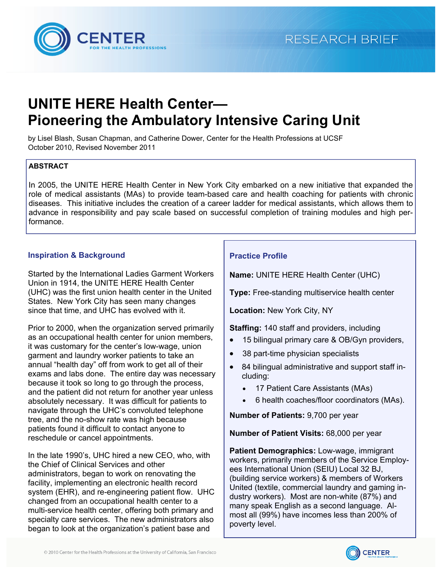

# **UNITE HERE Health Center— Pioneering the Ambulatory Intensive Caring Unit**

by Lisel Blash, Susan Chapman, and Catherine Dower, Center for the Health Professions at UCSF October 2010, Revised November 2011

# **ABSTRACT**

In 2005, the [UNITE HERE Health Center](http://www.uniteherehealthcenter.org/) in New York City embarked on a new initiative that expanded the role of medical assistants (MAs) to provide team-based care and health coaching for patients with chronic diseases. This initiative includes the creation of a career ladder for medical assistants, which allows them to advance in responsibility and pay scale based on successful completion of training modules and high performance.

# **Inspiration & Background**

Started by the International Ladies Garment Workers Union in 1914, the [UNITE HERE Health Center](http://www.uniteherehealthcenter.org/)  (UHC) was the first union health center in the United States. New York City has seen many changes since that time, and UHC has evolved with it.

Prior to 2000, when the organization served primarily as an occupational health center for union members, it was customary for the center's low-wage, union garment and laundry worker patients to take an annual "health day" off from work to get all of their exams and labs done. The entire day was necessary because it took so long to go through the process, and the patient did not return for another year unless absolutely necessary. It was difficult for patients to navigate through the UHC's convoluted telephone tree, and the no-show rate was high because patients found it difficult to contact anyone to reschedule or cancel appointments.

In the late 1990's, UHC hired a new CEO, who, with the Chief of Clinical Services and other administrators, began to work on renovating the facility, implementing an electronic health record system (EHR), and re-engineering patient flow. UHC changed from an occupational health center to a multi-service health center, offering both primary and specialty care services. The new administrators also began to look at the organization's patient base and

# **Practice Profile**

**Name:** [UNITE HERE Health Center \(UHC\)](http://www.uniteherehealthcenter.org/) 

**Type:** Free-standing multiservice health center

**Location:** New York City, NY

**Staffing:** 140 staff and providers, including

- 15 bilingual primary care & OB/Gyn providers,
- 38 part-time physician specialists
- 84 bilingual administrative and support staff including:
	- 17 Patient Care Assistants (MAs)
	- 6 health coaches/floor coordinators (MAs).

**Number of Patients:** 9,700 per year

**Number of Patient Visits:** 68,000 per year

**Patient Demographics:** Low-wage, immigrant workers, primarily members of the [Service Employ](http://www.seiu32bj.org/index.asp)[ees International Union \(SEIU\) Local 32 BJ,](http://www.seiu32bj.org/index.asp)  (building service workers) & members of Workers United (textile, commercial laundry and gaming industry workers). Most are non-white (87%) and many speak English as a second language. Almost all (99%) have incomes less than 200% of poverty level.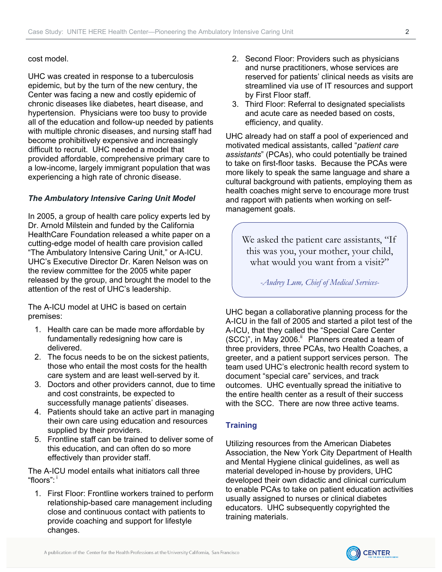#### <span id="page-1-0"></span>cost model.

UHC was created in response to a tuberculosis epidemic, but by the turn of the new century, the Center was facing a new and costly epidemic of chronic diseases like diabetes, heart disease, and hypertension. Physicians were too busy to provide all of the education and follow-up needed by patients with multiple chronic diseases, and nursing staff had become prohibitively expensive and increasingly difficult to recruit. UHC needed a model that provided affordable, comprehensive primary care to a low-income, largely immigrant population that was experiencing a high rate of chronic disease.

# *[The Ambulatory Intensive Caring Unit Model](http://www.chcf.org/publications/2011/05/ambulatory-intensive-caring-units)*

In 2005, a group of health care policy experts led by Dr. Arnold Milstein and funded by the California HealthCare Foundation released a white paper on a cutting-edge model of health care provision called "[The Ambulatory Intensive Caring Unit,](http://www.chcf.org/publications/2011/05/ambulatory-intensive-caring-units)" or A-ICU. UHC's Executive Director Dr. Karen Nelson was on the review committee for the 2005 white paper released by the group, and brought the model to the attention of the rest of UHC's leadership.

[The A-ICU model a](http://www.chcf.org/publications/2011/05/ambulatory-intensive-caring-units)t UHC is based on certain premises:

- 1. Health care can be made more affordable by fundamentally redesigning how care is delivered.
- 2. The focus needs to be on the sickest patients, those who entail the most costs for the health care system and are least well-served by it.
- 3. Doctors and other providers cannot, due to time and cost constraints, be expected to successfully manage patients' diseases.
- 4. Patients should take an active part in managing their own care using education and resources supplied by their providers.
- 5. Frontline staff can be trained to deliver some of this education, and can often do so more effectively than provider staff.

[The A-ICU model e](http://www.chcf.org/publications/2011/05/ambulatory-intensive-caring-units)ntails what initiators call three "floors":  $^{\mathsf{i}}$ 

1. First Floor: Frontline workers trained to perform relationship-based care management including close and continuous contact with patients to provide coaching and support for lifestyle changes.

- 2. Second Floor: Providers such as physicians and nurse practitioners, whose services are reserved for patients' clinical needs as visits are streamlined via use of IT resources and support by First Floor staff.
- 3. Third Floor: Referral to designated specialists and acute care as needed based on costs, efficiency, and quality.

UHC already had on staff a pool of experienced and motivated medical assistants, called "*patient care assistants*" (PCAs), who could potentially be trained to take on first-floor tasks. Because the PCAs were more likely to speak the same language and share a cultural background with patients, employing them as health coaches might serve to encourage more trust and rapport with patients when working on selfmanagement goals.

We asked the patient care assistants, "If this was you, your mother, your child, what would you want from a visit?"

*-Audrey Lum, Chief of Medical Services-* 

UHC began a collaborative planning process for the A-ICU in the fall of 2005 and started a pilot test of the A-ICU, that they called the "Special Care Center (SCC)", in May 2006.<sup>ii</sup> Planners created a team of three providers, three PCAs, two Health Coaches, a greeter, and a patient support services person. The team used UHC's electronic health record system to document "special care" services, and track outcomes. UHC eventually spread the initiative to the entire health center as a result of their success with the SCC. There are now three active teams.

# **Training**

Utilizing resources from the American Diabetes Association, the New York City Department of Health and Mental Hygiene clinical guidelines, as well as material developed in-house by providers, UHC developed their own didactic and clinical curriculum to enable PCAs to take on patient education activities usually assigned to nurses or clinical diabetes educators. UHC subsequently copyrighted the training materials.

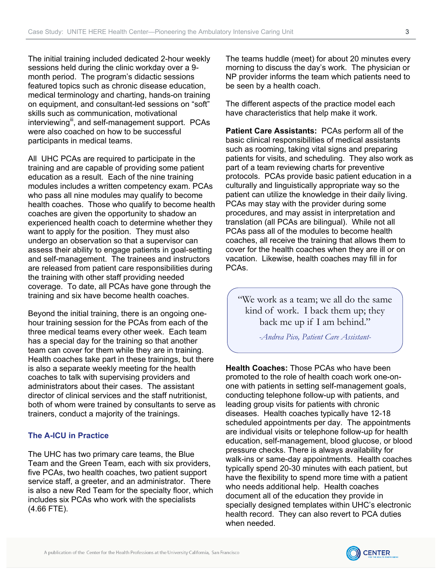<span id="page-2-0"></span>The initial training included dedicated 2-hour weekly sessions held during the clinic workday over a 9 month period. The program's didactic sessions featured topics such as chronic disease education, medical terminology and charting, hands-on training on equipment, and consultant-led sessions on "soft" skills such as communication, motivational interviewing<sup>11</sup>, and self-management support. PCAs were also coached on how to be successful participants in medical teams.

All UHC PCAs are required to participate in the training and are capable of providing some patient education as a result. Each of the nine training modules includes a written competency exam. PCAs who pass all nine modules may qualify to become health coaches. Those who qualify to become health coaches are given the opportunity to shadow an experienced health coach to determine whether they want to apply for the position. They must also undergo an observation so that a supervisor can assess their ability to engage patients in goal-setting and self-management. The trainees and instructors are released from patient care responsibilities during the training with other staff providing needed coverage. To date, all PCAs have gone through the training and six have become health coaches.

Beyond the initial training, there is an ongoing onehour training session for the PCAs from each of the three medical teams every other week. Each team has a special day for the training so that another team can cover for them while they are in training. Health coaches take part in these trainings, but there is also a separate weekly meeting for the health coaches to talk with supervising providers and administrators about their cases. The assistant director of clinical services and the staff nutritionist, both of whom were trained by consultants to serve as trainers, conduct a majority of the trainings.

# **The A-ICU in Practice**

The UHC has two primary care teams, the Blue Team and the Green Team, each with six providers, five PCAs, two health coaches, two patient support service staff, a greeter, and an administrator. There is also a new Red Team for the specialty floor, which includes six PCAs who work with the specialists (4.66 FTE).

The teams huddle (meet) for about 20 minutes every morning to discuss the day's work. The physician or NP provider informs the team which patients need to be seen by a health coach.

The different aspects of the practice model each have characteristics that help make it work.

**Patient Care Assistants:** PCAs perform all of the basic clinical responsibilities of medical assistants such as rooming, taking vital signs and preparing patients for visits, and scheduling. They also work as part of a team reviewing charts for preventive protocols. PCAs provide basic patient education in a culturally and linguistically appropriate way so the patient can utilize the knowledge in their daily living. PCAs may stay with the provider during some procedures, and may assist in interpretation and translation (all PCAs are bilingual). While not all PCAs pass all of the modules to become health coaches, all receive the training that allows them to cover for the health coaches when they are ill or on vacation. Likewise, health coaches may fill in for PCAs.

"We work as a team; we all do the same kind of work. I back them up; they back me up if I am behind."

*-Andrea Pico, Patient Care Assistant-*

**Health Coaches:** Those PCAs who have been promoted to the role of health coach work one-onone with patients in setting self-management goals, conducting telephone follow-up with patients, and leading group visits for patients with chronic diseases. Health coaches typically have 12-18 scheduled appointments per day. The appointments are individual visits or telephone follow-up for health education, self-management, blood glucose, or blood pressure checks. There is always availability for walk-ins or same-day appointments. Health coaches typically spend 20-30 minutes with each patient, but have the flexibility to spend more time with a patient who needs additional help. Health coaches document all of the education they provide in specially designed templates within UHC's electronic health record. They can also revert to PCA duties when needed.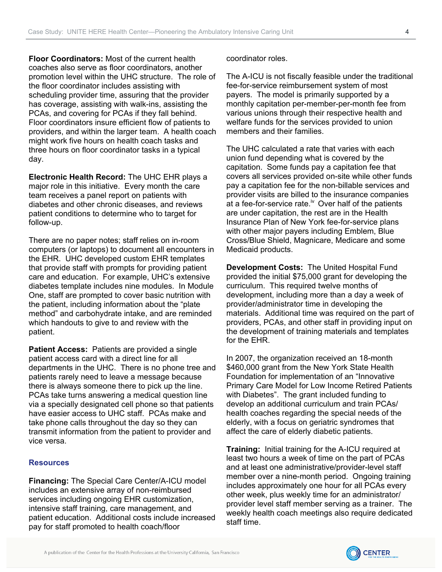<span id="page-3-0"></span>**Floor Coordinators:** Most of the current health coaches also serve as floor coordinators, another promotion level within the UHC structure. The role of the floor coordinator includes assisting with scheduling provider time, assuring that the provider has coverage, assisting with walk-ins, assisting the PCAs, and covering for PCAs if they fall behind. Floor coordinators insure efficient flow of patients to providers, and within the larger team. A health coach might work five hours on health coach tasks and three hours on floor coordinator tasks in a typical day.

**Electronic Health Record:** The UHC EHR plays a major role in this initiative. Every month the care team receives a panel report on patients with diabetes and other chronic diseases, and reviews patient conditions to determine who to target for follow-up.

There are no paper notes; staff relies on in-room computers (or laptops) to document all encounters in the EHR. UHC developed custom EHR templates that provide staff with prompts for providing patient care and education. For example, UHC's extensive diabetes template includes nine modules. In Module One, staff are prompted to cover basic nutrition with the patient, including information about the "plate method" and carbohydrate intake, and are reminded which handouts to give to and review with the patient.

**Patient Access: Patients are provided a single** patient access card with a direct line for all departments in the UHC. There is no phone tree and patients rarely need to leave a message because there is always someone there to pick up the line. PCAs take turns answering a medical question line via a specially designated cell phone so that patients have easier access to UHC staff. PCAs make and take phone calls throughout the day so they can transmit information from the patient to provider and vice versa.

#### **Resources**

**Financing:** The Special Care Center/A-ICU model includes an extensive array of non-reimbursed services including ongoing EHR customization, intensive staff training, care management, and patient education. Additional costs include increased pay for staff promoted to health coach/floor

coordinator roles.

The A-ICU is not fiscally feasible under the traditional fee-for-service reimbursement system of most payers. The model is primarily supported by a monthly capitation per-member-per-month fee from various unions through their respective health and welfare funds for the services provided to union members and their families.

The UHC calculated a rate that varies with each union fund depending what is covered by the capitation. Some funds pay a capitation fee that covers all services provided on-site while other funds pay a capitation fee for the non-billable services and provider visits are billed to the insurance companies at a fee-for-service rate.<sup> $iv$ </sup> Over half of the patients are under capitation, the rest are in the Health Insurance Plan of New York fee-for-service plans with other major payers including Emblem, Blue Cross/Blue Shield, Magnicare, Medicare and some Medicaid products.

**Development Costs:** The United Hospital Fund provided the initial \$75,000 grant for developing the curriculum. This required twelve months of development, including more than a day a week of provider/administrator time in developing the materials. Additional time was required on the part of providers, PCAs, and other staff in providing input on the development of training materials and templates for the EHR.

In 2007, the organization received an 18-month \$460,000 grant from the New York State Health Foundation for implementation of an "Innovative Primary Care Model for Low Income Retired Patients with Diabetes". The grant included funding to develop an additional curriculum and train PCAs/ health coaches regarding the special needs of the elderly, with a focus on geriatric syndromes that affect the care of elderly diabetic patients.

**Training:** Initial training for the A-ICU required at least two hours a week of time on the part of PCAs and at least one administrative/provider-level staff member over a nine-month period. Ongoing training includes approximately one hour for all PCAs every other week, plus weekly time for an administrator/ provider level staff member serving as a trainer. The weekly health coach meetings also require dedicated staff time.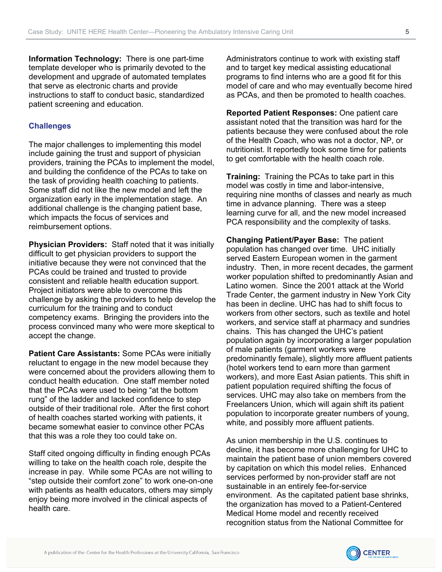**Information Technology:** There is one part-time template developer who is primarily devoted to the development and upgrade of automated templates that serve as electronic charts and provide instructions to staff to conduct basic, standardized patient screening and education.

# **Challenges**

The major challenges to implementing this model include gaining the trust and support of physician providers, training the PCAs to implement the model, and building the confidence of the PCAs to take on the task of providing health coaching to patients. Some staff did not like the new model and left the organization early in the implementation stage. An additional challenge is the changing patient base, which impacts the focus of services and reimbursement options.

**Physician Providers:** Staff noted that it was initially difficult to get physician providers to support the initiative because they were not convinced that the PCAs could be trained and trusted to provide consistent and reliable health education support. Project initiators were able to overcome this challenge by asking the providers to help develop the curriculum for the training and to conduct competency exams. Bringing the providers into the process convinced many who were more skeptical to accept the change.

**Patient Care Assistants:** Some PCAs were initially reluctant to engage in the new model because they were concerned about the providers allowing them to conduct health education. One staff member noted that the PCAs were used to being "at the bottom rung" of the ladder and lacked confidence to step outside of their traditional role. After the first cohort of health coaches started working with patients, it became somewhat easier to convince other PCAs that this was a role they too could take on.

Staff cited ongoing difficulty in finding enough PCAs willing to take on the health coach role, despite the increase in pay. While some PCAs are not willing to "step outside their comfort zone" to work one-on-one with patients as health educators, others may simply enjoy being more involved in the clinical aspects of health care.

Administrators continue to work with existing staff and to target key medical assisting educational programs to find interns who are a good fit for this model of care and who may eventually become hired as PCAs, and then be promoted to health coaches.

**Reported Patient Responses:** One patient care assistant noted that the transition was hard for the patients because they were confused about the role of the Health Coach, who was not a doctor, NP, or nutritionist. It reportedly took some time for patients to get comfortable with the health coach role.

**Training:** Training the PCAs to take part in this model was costly in time and labor-intensive, requiring nine months of classes and nearly as much time in advance planning. There was a steep learning curve for all, and the new model increased PCA responsibility and the complexity of tasks.

**Changing Patient/Payer Base:** The patient population has changed over time. UHC initially served Eastern European women in the garment industry. Then, in more recent decades, the garment worker population shifted to predominantly Asian and Latino women. Since the 2001 attack at the World Trade Center, the garment industry in New York City has been in decline. UHC has had to shift focus to workers from other sectors, such as textile and hotel workers, and service staff at pharmacy and sundries chains. This has changed the UHC's patient population again by incorporating a larger population of male patients (garment workers were predominantly female), slightly more affluent patients (hotel workers tend to earn more than garment workers), and more East Asian patients. This shift in patient population required shifting the focus of services. UHC may also take on members from the Freelancers Union, which will again shift its patient population to incorporate greater numbers of young, white, and possibly more affluent patients.

As union membership in the U.S. continues to decline, it has become more challenging for UHC to maintain the patient base of union members covered by capitation on which this model relies. Enhanced services performed by non-provider staff are not sustainable in an entirely fee-for-service environment. As the capitated patient base shrinks, the organization has moved to a Patient-Centered Medical Home model and recently received recognition status from the National Committee for

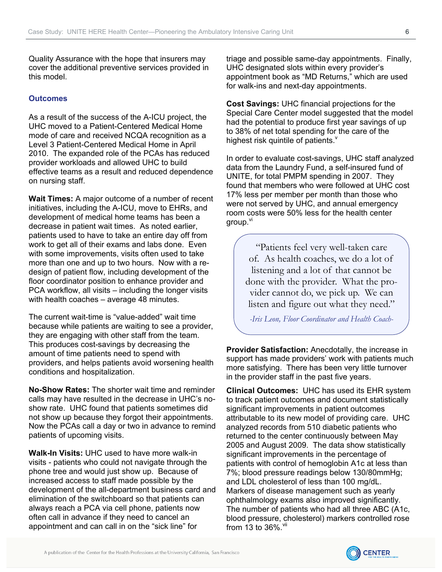<span id="page-5-0"></span>Quality Assurance with the hope that insurers may cover the additional preventive services provided in this model.

## **Outcomes**

As a result of the success of the A-ICU project, the UHC moved to a Patient-Centered Medical Home mode of care and received NCQA recognition as a Level 3 Patient-Centered Medical Home in April 2010. The expanded role of the PCAs has reduced provider workloads and allowed UHC to build effective teams as a result and reduced dependence on nursing staff.

**Wait Times:** A major outcome of a number of recent initiatives, including the A-ICU, move to EHRs, and development of medical home teams has been a decrease in patient wait times. As noted earlier, patients used to have to take an entire day off from work to get all of their exams and labs done. Even with some improvements, visits often used to take more than one and up to two hours. Now with a redesign of patient flow, including development of the floor coordinator position to enhance provider and PCA workflow, all visits – including the longer visits with health coaches – average 48 minutes.

The current wait-time is "value-added" wait time because while patients are waiting to see a provider, they are engaging with other staff from the team. This produces cost-savings by decreasing the amount of time patients need to spend with providers, and helps patients avoid worsening health conditions and hospitalization.

**No-Show Rates:** The shorter wait time and reminder calls may have resulted in the decrease in UHC's noshow rate. UHC found that patients sometimes did not show up because they forgot their appointments. Now the PCAs call a day or two in advance to remind patients of upcoming visits.

**Walk-In Visits:** UHC used to have more walk-in visits - patients who could not navigate through the phone tree and would just show up. Because of increased access to staff made possible by the development of the all-department business card and elimination of the switchboard so that patients can always reach a PCA via cell phone, patients now often call in advance if they need to cancel an appointment and can call in on the "sick line" for

triage and possible same-day appointments. Finally, UHC designated slots within every provider's appointment book as "MD Returns," which are used for walk-ins and next-day appointments.

**Cost Savings:** UHC financial projections for the Special Care Center model suggested that the model had the potential to produce first year savings of up to 38% of net total spending for the care of the highest risk quintile of patients. $v$ 

In order to evaluate cost-savings, UHC staff analyzed data from the Laundry Fund, a self-insured fund of UNITE, for total PMPM spending in 2007. They found that members who were followed at UHC cost 17% less per member per month than those who were not served by UHC, and annual emergency room costs were 50% less for the health center group.<sup>[vi](#page-8-1)</sup>

> "Patients feel very well-taken care of. As health coaches, we do a lot of listening and a lot of that cannot be done with the provider. What the provider cannot do, we pick up. We can listen and figure out what they need."

*-Iris Leon, Floor Coordinator and Health Coach-*

**Provider Satisfaction:** Anecdotally, the increase in support has made providers' work with patients much more satisfying. There has been very little turnover in the provider staff in the past five years.

**Clinical Outcomes:** UHC has used its EHR system to track patient outcomes and document statistically significant improvements in patient outcomes attributable to its new model of providing care. UHC analyzed records from 510 diabetic patients who returned to the center continuously between May 2005 and August 2009. The data show statistically significant improvements in the percentage of patients with control of hemoglobin A1c at less than 7%; blood pressure readings below 130/80mmHg; and LDL cholesterol of less than 100 mg/dL. Markers of disease management such as yearly ophthalmology exams also improved significantly. The number of patients who had all three ABC (A1c, blood pressure, cholesterol) markers controlled rose from 13 to  $36\%$ .  $\frac{V}{I}$ 

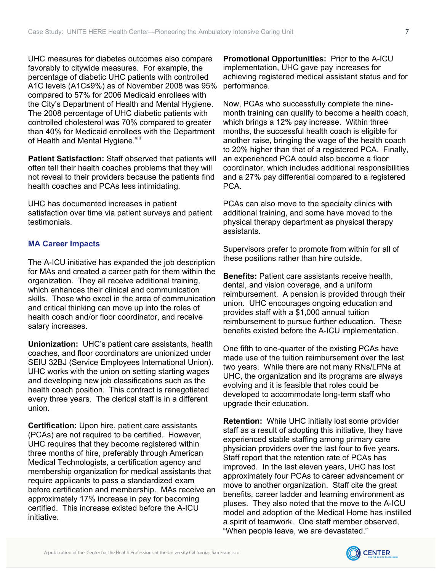<span id="page-6-0"></span>UHC measures for diabetes outcomes also compare favorably to citywide measures. For example, the percentage of diabetic UHC patients with controlled A1C levels (A1C≤9%) as of November 2008 was 95% compared to 57% for 2006 Medicaid enrollees with the City's Department of Health and Mental Hygiene. The 2008 percentage of UHC diabetic patients with controlled cholesterol was 70% compared to greater than 40% for Medicaid enrollees with the Department of Health and Mental Hygiene. Vili

**Patient Satisfaction:** Staff observed that patients will often tell their health coaches problems that they will not reveal to their providers because the patients find health coaches and PCAs less intimidating.

UHC has documented increases in patient satisfaction over time via patient surveys and patient testimonials.

# **MA Career Impacts**

The A-ICU initiative has expanded the job description for MAs and created a career path for them within the organization. They all receive additional training, which enhances their clinical and communication skills. Those who excel in the area of communication and critical thinking can move up into the roles of health coach and/or floor coordinator, and receive salary increases.

**Unionization:** UHC's patient care assistants, health coaches, and floor coordinators are unionized under [SEIU 32BJ \(Service Employees International Union\).](http://www.seiu32bj.org/index.asp) UHC works with the union on setting starting wages and developing new job classifications such as the health coach position. This contract is renegotiated every three years. The clerical staff is in a different union.

**Certification:** Upon hire, patient care assistants (PCAs) are not required to be certified. However, UHC requires that they become registered within three months of hire, preferably through American Medical Technologists, a certification agency and membership organization for medical assistants that require applicants to pass a standardized exam before certification and membership. MAs receive an approximately 17% increase in pay for becoming certified. This increase existed before the A-ICU initiative.

**Promotional Opportunities:** Prior to the A-ICU implementation, UHC gave pay increases for achieving registered medical assistant status and for performance.

Now, PCAs who successfully complete the ninemonth training can qualify to become a health coach, which brings a 12% pay increase. Within three months, the successful health coach is eligible for another raise, bringing the wage of the health coach to 20% higher than that of a registered PCA. Finally, an experienced PCA could also become a floor coordinator, which includes additional responsibilities and a 27% pay differential compared to a registered PCA.

PCAs can also move to the specialty clinics with additional training, and some have moved to the physical therapy department as physical therapy assistants.

Supervisors prefer to promote from within for all of these positions rather than hire outside.

**Benefits:** Patient care assistants receive health, dental, and vision coverage, and a uniform reimbursement. A pension is provided through their union. UHC encourages ongoing education and provides staff with a \$1,000 annual tuition reimbursement to pursue further education. These benefits existed before the A-ICU implementation.

One fifth to one-quarter of the existing PCAs have made use of the tuition reimbursement over the last two years. While there are not many RNs/LPNs at UHC, the organization and its programs are always evolving and it is feasible that roles could be developed to accommodate long-term staff who upgrade their education.

**Retention:** While UHC initially lost some provider staff as a result of adopting this initiative, they have experienced stable staffing among primary care physician providers over the last four to five years. Staff report that the retention rate of PCAs has improved. In the last eleven years, UHC has lost approximately four PCAs to career advancement or move to another organization. Staff cite the great benefits, career ladder and learning environment as pluses. They also noted that the move to the A-ICU model and adoption of the Medical Home has instilled a spirit of teamwork. One staff member observed, "When people leave, we are devastated."

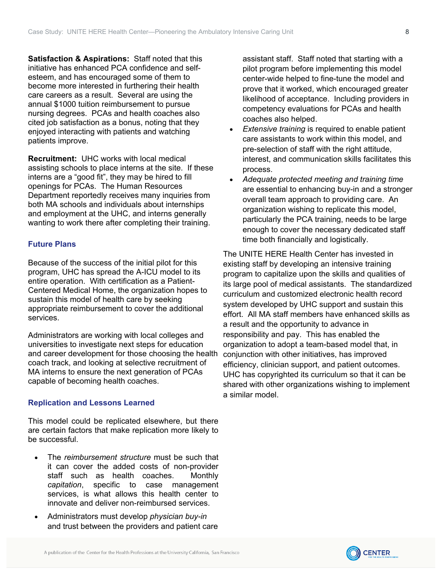**Satisfaction & Aspirations:** Staff noted that this initiative has enhanced PCA confidence and selfesteem, and has encouraged some of them to become more interested in furthering their health care careers as a result. Several are using the annual \$1000 tuition reimbursement to pursue nursing degrees. PCAs and health coaches also cited job satisfaction as a bonus, noting that they enjoyed interacting with patients and watching patients improve.

**Recruitment:** UHC works with local medical assisting schools to place interns at the site. If these interns are a "good fit", they may be hired to fill openings for PCAs. The Human Resources Department reportedly receives many inquiries from both MA schools and individuals about internships and employment at the UHC, and interns generally wanting to work there after completing their training.

## **Future Plans**

Because of the success of the initial pilot for this program, UHC has spread the A-ICU model to its entire operation. With certification as a Patient-Centered Medical Home, the organization hopes to sustain this model of health care by seeking appropriate reimbursement to cover the additional services.

Administrators are working with local colleges and universities to investigate next steps for education and career development for those choosing the health coach track, and looking at selective recruitment of MA interns to ensure the next generation of PCAs capable of becoming health coaches.

## **Replication and Lessons Learned**

This model could be replicated elsewhere, but there are certain factors that make replication more likely to be successful.

- The *reimbursement structure* must be such that it can cover the added costs of non-provider staff such as health coaches. Monthly *capitation*, specific to case management services, is what allows this health center to innovate and deliver non-reimbursed services.
- Administrators must develop *physician buy-in* and trust between the providers and patient care

assistant staff. Staff noted that starting with a pilot program before implementing this model center-wide helped to fine-tune the model and prove that it worked, which encouraged greater likelihood of acceptance. Including providers in competency evaluations for PCAs and health coaches also helped.

- *Extensive training* is required to enable patient care assistants to work within this model, and pre-selection of staff with the right attitude, interest, and communication skills facilitates this process.
- *Adequate protected meeting and training time* are essential to enhancing buy-in and a stronger overall team approach to providing care. An organization wishing to replicate this model, particularly the PCA training, needs to be large enough to cover the necessary dedicated staff time both financially and logistically.

The UNITE HERE Health Center has invested in existing staff by developing an intensive training program to capitalize upon the skills and qualities of its large pool of medical assistants. The standardized curriculum and customized electronic health record system developed by UHC support and sustain this effort. All MA staff members have enhanced skills as a result and the opportunity to advance in responsibility and pay. This has enabled the organization to adopt a team-based model that, in conjunction with other initiatives, has improved efficiency, clinician support, and patient outcomes. UHC has copyrighted its curriculum so that it can be shared with other organizations wishing to implement a similar model.